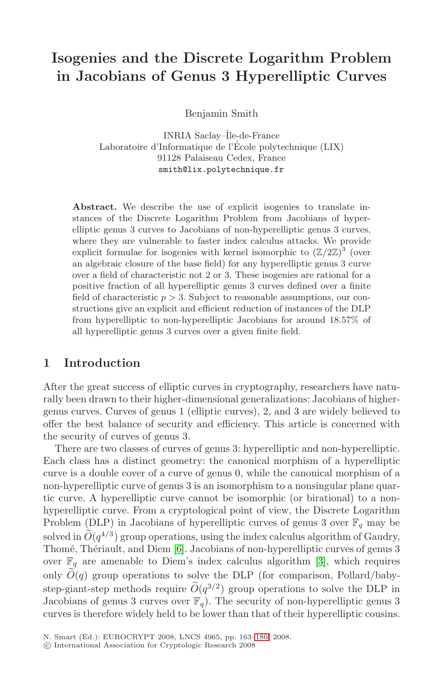# **Isogenies and the Discrete Logarithm Problem in Jacobians of Genus 3 Hyperelliptic Curves**

Benjamin Smith

INRIA Saclay–ˆIle-de-France Laboratoire d'Informatique de l'École polytechnique (LIX) 91128 Palaiseau Cedex, France smith@lix.polytechnique.fr

**Abstract.** We describe the use of explicit isogenies to translate instances of the Discrete Logarithm Problem from Jacobians of hyperelliptic genus 3 curves to Jacobians of non-hyperelliptic genus 3 curves, where they are vulnerable to faster index calculus attacks. We provide explicit formulae for isogenies with kernel isomorphic to  $(\mathbb{Z}/2\mathbb{Z})^3$  (over an algebraic closure of the base field) for any hyperelliptic genus 3 curve over a field of characteristic not 2 or 3. These isogenies are rational for a positive fraction of all hyperelliptic genus 3 curves defined over a finite field of characteristic  $p > 3$ . Subject to reasonable assumptions, our constructions give an explicit and efficient reduction of instances of the DLP from hyperelliptic to non-hyperelliptic Jacobians for around 18.57% of all hyperelliptic genus 3 curves over a given finite field.

# **1 Introduction**

After the great success of elliptic curves in cryptography, researchers have naturally been drawn to their higher-dimensional generalizations: Jacobians of highergenus curves. Curves of genus 1 (elliptic curves), 2, and 3 are widely believed to offer the best balance of security and efficiency. This article is concerned with the security of curves of genus 3.

There a[re](#page-17-0) two classes of curves of genus 3: hyperelliptic and non-hyperelliptic. Each class has a distinct geometry: the [can](#page-17-1)onical morphism of a hyperelliptic curve is a double cover of a curve of genus 0, while the canonical morphism of a non-hyperelliptic curve of genus 3 is an isomorphism to a nonsingular plane quartic curve. A hyperelliptic curve cannot be isomorphic (or birational) to a nonhyperelliptic curve. From a cryptological point of view, the Discrete Logarithm Problem (DLP) in Jacobians of hyperelliptic curves of genus 3 over  $\mathbb{F}_q$  may be solved in  $\widetilde{O}(q^{4/3})$  group oper[atio](#page-17-2)ns, using the index calculus algorithm of Gaudry, Thomé, Thériault, and Diem [6]. Jacobians of non-hyperelliptic curves of genus 3 over  $\mathbb{F}_q$  are amenable to Diem's index calculus algorithm [3], which requires only  $\tilde{O}(q)$  group operations to solve the DLP (for comparison, Pollard/babystep-giant-step methods require  $\widetilde{O}(q^{3/2})$  group operations to solve the DLP in Jacobians of genus 3 curves over  $\mathbb{F}_q$ ). The security of non-hyperelliptic genus 3 curves is therefore widely held to be lower than that of their hyperelliptic cousins.

N. Smart (Ed.): EUROCRYPT 2008, LNCS 4965, pp. 163–180, 2008.

c International Association for Cryptologic Research 2008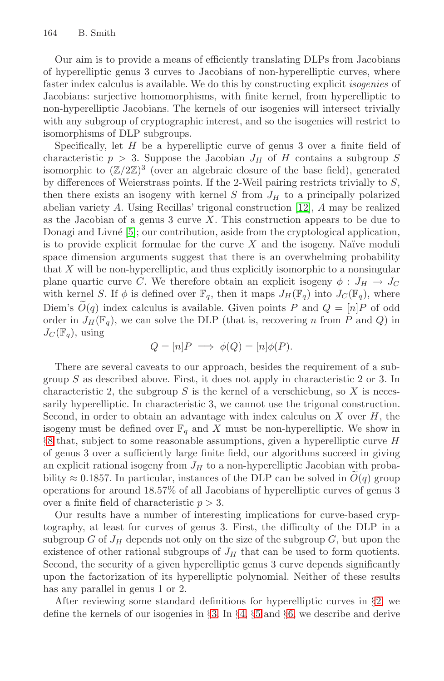Our aim is to provide a means of efficiently translating DLPs from Jacobians of hyperelliptic genus 3 curves to Jacobians of non-hyperelliptic curves, where faster index calculus is available. We do this by constructing explicit isogenies of Jacobians: surjective homomorphisms, with finite kernel, from hyperelliptic to non-hyperelliptic Jacobians. The ker[nels](#page-17-3) of our isogenies will intersect trivially with any subgroup of cryptographic interest, and so the isogenies will restrict to [is](#page-17-4)omorphisms of DLP subgroups.

Specifically, let  $H$  be a hyperelliptic curve of genus 3 over a finite field of characteristic  $p > 3$ . Suppose the Jacobian  $J_H$  of H contains a subgroup S isomorphic to  $(\mathbb{Z}/2\mathbb{Z})^3$  (over an algebraic closure of the base field), generated by differences of Weierstrass points. If the 2-Weil pairing restricts trivially to S, then there exists an isogeny with kernel  $S$  from  $J_H$  to a principally polarized abelian variety A. Using Recillas' trigonal construction [12], A may be realized as the Jacobian of a genus 3 curve  $X$ . This construction appears to be due to Donagi and Livné [5]; our contribution, aside from the cryptological application, is to provide explicit formulae for the curve  $X$  and the isogeny. Naïve moduli space dimension arguments suggest that there is an overwhelming probability that X will be non-hyperelliptic, and thus explicitly isomorphic to a nonsingular plane quartic curve C. We therefore obtain an explicit isogeny  $\phi: J_H \to J_C$ with kernel S. If  $\phi$  is defined over  $\mathbb{F}_q$ , then it maps  $J_H(\mathbb{F}_q)$  into  $J_C(\mathbb{F}_q)$ , where Diem's  $\tilde{O}(q)$  index calculus is available. Given points P and  $Q = [n]P$  of odd order in  $J_H(\mathbb{F}_q)$ , we can solve the DLP (that is, recovering n from P and Q) in  $J_C(\mathbb{F}_q)$ , using

$$
Q = [n]P \implies \phi(Q) = [n]\phi(P).
$$

There are several caveats to our approach, besides the requirement of a subgroup  $S$  as described above. First, it does not apply in characteristic 2 or 3. In characteristic 2, the subgroup  $S$  is the kernel of a verschiebung, so  $X$  is necessarily hyperelliptic. In characteristic 3, we cannot use the trigonal construction. Second, in order to obtain an advantage with index calculus on  $X$  over  $H$ , the isogeny must be defined over  $\mathbb{F}_q$  and X must be non-hyperelliptic. We show in §8 that, subject to some reasonable assumptions, given a hyperelliptic curve H of genus 3 over a sufficiently large finite field, our algorithms succeed in giving an explicit rational isogeny from  $J_H$  to a non-hyperelliptic Jacobian with probability  $\approx 0.1857$ . In particular, instances of the DLP can be solved in  $O(q)$  group operations for around 18.57% of all Jacobians of hyperelliptic curves of genus 3 over a finite field of characteristic  $p > 3$ .

Our results ha[ve](#page-3-0) a n[um](#page-4-0)b[er](#page-6-0) of i[nte](#page-8-0)resting implicatio[ns](#page-2-0) for curve-based cryptography, at least for curves of genus 3. First, the difficulty of the DLP in a subgroup G of  $J_H$  depends not only on the size of the subgroup G, but upon the existence of other rational subgroups of  $J_H$  that can be used to form quotients. Second, the security of a given hyperelliptic genus 3 curve depends significantly upon the factorization of its hyperelliptic polynomial. Neither of these results has any parallel in genus 1 or 2.

After reviewing some standard definitions for hyperelliptic curves in §2, we define the kernels of our isogenies in §3. In §4, §5 and §6, we describe and derive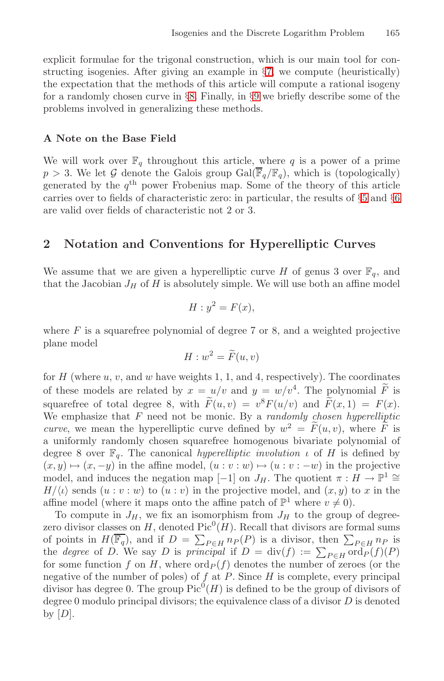explicit formulae for the trigonal construction, which is our main tool for constructing isogenies. After giving an example in §7, we compute (heuristically) the expectation that the methods of this article will compute a rational isogeny for a randomly chosen curve in §8. Finally, in §9 we [br](#page-6-0)iefly [de](#page-8-0)scribe some of the problems involved in generalizing these methods.

#### <span id="page-2-0"></span>**A Note on the Base Field**

We will work over  $\mathbb{F}_q$  throughout this article, where q is a power of a prime  $p > 3$ . We let G denote the Galois group Gal( $\overline{\mathbb{F}}_q/\mathbb{F}_q$ ), which is (topologically) generated by the  $q<sup>th</sup>$  power Frobenius map. Some of the theory of this article carries over to fields of characteristic zero: in particular, the results of §5 and §6 are valid over fields of characteristic not 2 or 3.

## **2 Notation and Conventions for Hyperelliptic Curves**

We assume that we are given a hyperelliptic curve H of genus 3 over  $\mathbb{F}_q$ , and that the Jacobian  $J_H$  of H is absolutely simple. We will use both an affine model

$$
H: y^2 = F(x),
$$

where  $F$  is a squarefree polynomial of degree 7 or 8, and a weighted projective plane model

$$
H: w^2 = \widetilde{F}(u, v)
$$

for H (where u, v, and w have weights 1, 1, and 4, respectively). The coordinates of these models are related by  $x = u/v$  and  $y = w/v^4$ . The polynomial  $\widetilde{F}$  is squarefree of total degree 8, with  $\widetilde{F}(u, v) = v^8 F(u/v)$  and  $\widetilde{F}(x, 1) = F(x)$ . We emphasize that  $F$  need not be monic. By a *randomly chosen hyperelliptic curve*, we mean the hyperelliptic curve defined by  $w^2 = \tilde{F}(u, v)$ , where  $\tilde{F}$  is a uniformly randomly chosen squarefree homogenous bivariate polynomial of degree 8 over  $\mathbb{F}_q$ . The canonical *hyperelliptic involution ι* of H is defined by  $(x, y) \mapsto (x, -y)$  in the affine model,  $(u : v : w) \mapsto (u : v : -w)$  in the projective model, and induces the negation map [−1] on  $J_H$ . The quotient  $\pi : H \to \mathbb{P}^1 \cong$  $H/\langle \iota \rangle$  sends  $(u : v : w)$  to  $(u : v)$  in the projective model, and  $(x, y)$  to x in the affine model (where it maps onto the affine patch of  $\mathbb{P}^1$  where  $v \neq 0$ ).

To compute in  $J_H$ , we fix an isomorphism from  $J_H$  to the group of degreezero divisor classes on  $H$ , denoted Pic<sup>0</sup> $(H)$ . Recall that divisors are formal sums of points in  $H(\overline{\mathbb{F}_q})$ , and if  $D = \sum_{P \in H} n_P(P)$  is a divisor, then  $\sum_{P \in H} n_P$  is<br>the degree of D. We say D is principal if  $D = \text{div}(f) := \sum_{P \in H} \text{ord}_P(f)(P)$ for some function f on H, where  $\text{ord}_P(f)$  denotes the number of zeroes (or the negative of the number of poles) of  $f$  at  $P$ . Since  $H$  is complete, every principal divisor has degree 0. The group  $Pic^0(H)$  is defined to be the group of divisors of degree 0 modulo principal divisors; the equivalence class of a divisor  $D$  is denoted by  $[D]$ .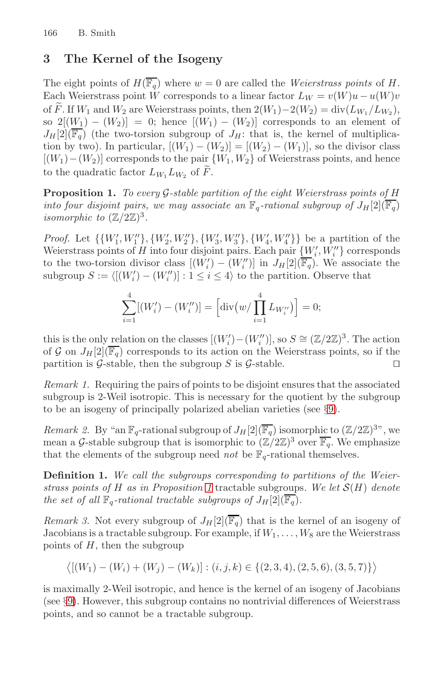# <span id="page-3-0"></span>**3 The Kernel of the Isogeny**

<span id="page-3-1"></span>The eight points of  $H(\overline{\mathbb{F}_q})$  where  $w = 0$  are called the Weierstrass points of H. Each Weierstrass point W corresponds to a linear factor  $L_W = v(W)u - u(W)v$ of  $\widetilde{F}$ . If  $W_1$  and  $W_2$  are Weierstrass points, then  $2(W_1)-2(W_2) = \text{div}(L_{W_1}/L_{W_2}),$ so  $2[(W_1)-(W_2)]=0$ ; hence  $[(W_1)-(W_2)]$  corresponds to an element of  $J_H[2](\overline{\mathbb{F}_q})$  (the two-torsion subgroup of  $J_H$ : that is, the kernel of multiplication by two). In particular,  $[(W_1) - (W_2)] = [(W_2) - (W_1)]$ , so the divisor class  $[(W_1)-(W_2)]$  corresponds to the pair  $\{W_1,W_2\}$  of Weierstrass points, and hence to the quadratic factor  $L_{W_1} L_{W_2}$  of  $\widetilde{F}$ .

**Proposition 1.** To every G-stable partition of the eight Weierstrass points of H into four disjoint pairs, we may associate an  $\mathbb{F}_q$ -rational subgroup of  $J_H[2](\overline{\mathbb{F}_q})$ isomorphic to  $(\mathbb{Z}/2\mathbb{Z})^3$ .

*Proof.* Let  $\{\{W'_1, W''_1\}, \{W'_2, W''_2\}, \{W'_3, W''_3\}, \{W'_4, W''_4\}\}\$ be a partition of the Weierstrass points of H into four disjoint pairs. Each pair  ${W_i', W_i'' \}$  corresponds to the two-torsion divisor class  $[(W'_i) - (W''_i)]$  in  $J_H[2](\overline{\mathbb{F}_q})$ . We associate the subgroup  $S := \langle [(W_i') - (W_i'')] : 1 \le i \le 4 \rangle$  to the partition. Observe that

$$
\sum_{i=1}^{4} [(W'_{i}) - (W''_{i})] = \left[ \operatorname{div} (w / \prod_{i=1}^{4} L_{W''_{i}}) \right] = 0;
$$

this is the only relation on the classes  $[(W'_i) - (W''_i)],$  so  $S \cong (\mathbb{Z}/2\mathbb{Z})^3$ . The action of G on  $J_H[2](\overline{\mathbb{F}_q})$  corresponds to its action on the Weierstrass points, so if the partition is  $G$ -stable, then the subgroup  $S$  is  $G$ -stable.  $\Box$ 

Remark 1. Requiring the pairs of points to be disjoint ensures that the associated subgroup is 2-W[eil](#page-3-1) isotropic. This is necessary for the quotient by the subgroup to be an isogeny of principally polarized abelian varieties (see §9).

Remark 2. By "an  $\mathbb{F}_q$ -rational subgroup of  $J_H[2](\overline{\mathbb{F}_q})$  isomorphic to  $(\mathbb{Z}/2\mathbb{Z})^{3}$ ", we mean a G-stable subgroup that is isomorphic to  $(\mathbb{Z}/2\mathbb{Z})^3$  over  $\overline{\mathbb{F}_q}$ . We emphasize that the elements of the subgroup need *not* be  $\mathbb{F}_q$ -rational themselves.

**Definition 1.** We call the subgroups corresponding to partitions of the Weierstrass points of H as in Proposition 1 tractable subgroups. We let  $\mathcal{S}(H)$  denote the set of all  $\mathbb{F}_q$ -rational tractable subgroups of  $J_H[2](\overline{\mathbb{F}_q})$ .

Remark 3. Not every subgroup of  $J_H[2](\overline{\mathbb{F}_q})$  that is the kernel of an isogeny of Jacobians is a tractable subgroup. For example, if  $W_1, \ldots, W_8$  are the Weierstrass points of  $H$ , then the subgroup

$$
\langle [(W_1) - (W_i) + (W_j) - (W_k)] : (i, j, k) \in \{ (2, 3, 4), (2, 5, 6), (3, 5, 7) \} \rangle
$$

is maximally 2-Weil isotropic, and hence is the kernel of an isogeny of Jacobians (see §9). However, this subgroup contains no nontrivial differences of Weierstrass points, and so cannot be a tractable subgroup.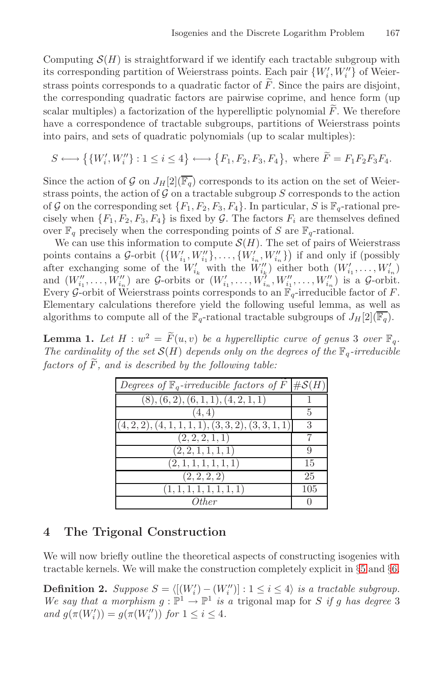Computing  $\mathcal{S}(H)$  is straightforward if we identify each tractable subgroup with its corresponding partition of Weierstrass points. Each pair  $\{W'_i, W''_i\}$  of Weierstrass points corresponds to a quadratic factor of  $\tilde{F}$ . Since the pairs are disjoint, the corresponding quadratic factors are pairwise coprime, and hence form (up scalar multiples) a factorization of the hyperelliptic polynomial  $F$ . We therefore have a correspondence of tractable subgroups, partitions of Weierstrass points into pairs, and sets of quadratic polynomials (up to scalar multiples):

$$
S \longleftrightarrow \big\{ \{W'_i, W''_i\} : 1 \le i \le 4 \} \longleftrightarrow \big\{ F_1, F_2, F_3, F_4 \big\}, \text{ where } \widetilde{F} = F_1 F_2 F_3 F_4.
$$

Since the action of G on  $J_H[2](\overline{\mathbb{F}_q})$  corresponds to its action on the set of Weierstrass points, the action of  $G$  on a tractable subgroup  $S$  corresponds to the action of G on the corresponding set  $\{F_1, F_2, F_3, F_4\}$ . In particular, S is  $\mathbb{F}_q$ -rational precisely when  $\{F_1, F_2, F_3, F_4\}$  is fixed by G. The factors  $F_i$  are themselves defined over  $\mathbb{F}_q$  precisely when the corresponding points of S are  $\mathbb{F}_q$ -rational.

We can use this information to compute  $\mathcal{S}(H)$ . The set of pairs of Weierstrass points contains a G-orbit  $(\{W'_{i_1}, W''_{i_1}\}, \ldots, \{W'_{i_n}, W''_{i_n}\})$  if and only if (possibly after exchanging some of the  $W'_{i_k}$  with the  $W''_{i_k}$ ) either both  $(W'_{i_1}, \ldots, W'_{i_n})$ and  $(W''_{i_1},...,W''_{i_n})$  are  $\mathcal{G}\text{-orbits or } (W'_{i_1},...,W'_{i_n},W''_{i_1},...,W''_{i_n})$  is a  $\mathcal{G}\text{-orbit}$ . Every G-orbit of Weierstrass points corresponds to an  $\mathbb{F}_q$ -irreducible factor of F. Elementary calculations therefore yield the following useful lemma, as well as algorithms to compute all of the  $\mathbb{F}_q$ -rational tractable subgroups of  $J_H[2](\overline{\mathbb{F}_q})$ .

<span id="page-4-0"></span>**Lemma 1.** Let  $H : w^2 = \widetilde{F}(u, v)$  be a hyperelliptic curve of genus 3 over  $\mathbb{F}_q$ . The cardinality of the set  $\mathcal{S}(H)$  depends only on the degrees of the  $\mathbb{F}_q$ -irreducible factors of  $\widetilde{F}$ , and is described by the following table:

| Degrees of $\mathbb{F}_q$ -irreducible factors of $F \mid \#S(H)$ |     |
|-------------------------------------------------------------------|-----|
| (8), (6, 2), (6, 1, 1), (4, 2, 1, 1)                              |     |
| (4,4)                                                             | 5   |
| $(4, 2, 2), (4, 1, 1, 1, 1), (3, 3, 2), (3, 3, 1, 1)$             | 3   |
| (2, 2, 2, 1, 1)                                                   |     |
| (2, 2, 1, 1, 1, 1)                                                | 9   |
| (2, 1, 1, 1, 1, 1, 1)                                             | 15  |
| (2, 2, 2, 2)                                                      | 25  |
| (1, 1, 1, 1, 1, 1, 1, 1)                                          | 105 |
| Other                                                             |     |

#### **4 The Trigonal Construction**

We will now briefly outline the theoretical aspects of constructing isogenies with tractable kernels. We will make the construction completely explicit in §5 and §6.

**Definition 2.** Suppose  $S = \langle [(W'_i) - (W''_i)] : 1 \le i \le 4 \rangle$  is a tractable subgroup. We say that a morphism  $q : \mathbb{P}^1 \to \mathbb{P}^1$  is a trigonal map for S if q has degree 3 and  $g(\pi(W_i')) = g(\pi(W_i''))$  for  $1 \leq i \leq 4$ .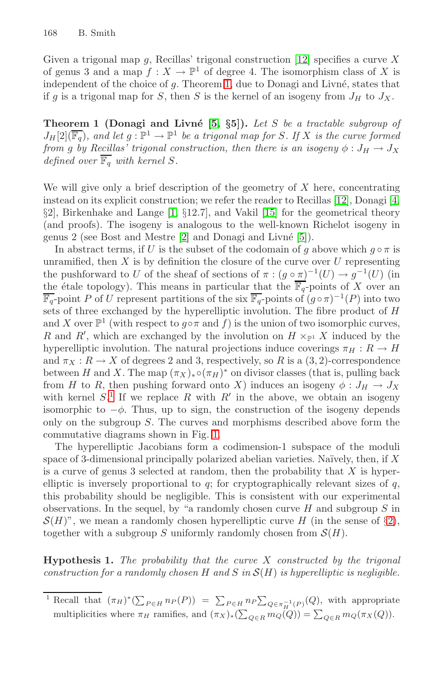Given a trigonal map  $g$ , Recillas' trigonal construction [12] specifies a curve X of genus 3 and a map  $f: X \to \mathbb{P}^1$  of degree 4. The isomorphism class of X is independent of the choice of  $g$ . Theorem 1, due to Donagi and Livné, states that if g is a trigonal map for S, then S is the ker[nel](#page-17-3) [o](#page-17-3)f an isog[en](#page-17-5)y from  $J_H$  to  $J_X$ .

**Theore[m](#page-17-6) 1 (Donagi and [Liv](#page-17-7)n´e [5,** *§***5]).** Let S be a tractable subgroup of  $J_H[2](\overline{\mathbb{F}_q})$ , [an](#page-17-8)d let  $g : \mathbb{P}^1 \to \mathbb{P}^1$  be a tr[igo](#page-17-4)nal map for S. If X is the curve formed from g by Recillas' trigonal construction, then there is an isogeny  $\phi: J_H \to J_X$ defined over  $\overline{\mathbb{F}_q}$  with kernel S.

We will give only a brief description of the geometry of  $X$  here, concentrating instead on its explicit construction; we refer the reader to Recillas [12], Donagi [4, §2], Birkenhake and Lange [1, §12.7], and Vakil [15] for the geometrical theory (and proofs). The isogeny is analogous to the well-known Richelot isogeny in genus 2 (see Bost and Mestre [2] and Donagi and Livn´e [5]).

In abstract terms, if U is the subset of the codomain of q above which  $q \circ \pi$  is unramified, then  $X$  is by definition the closure of the curve over  $U$  representing the pushforward to U of the sheaf of sections of  $\pi : (g \circ \pi)^{-1}(U) \to g^{-1}(U)$  (in the étale topology). This means in particular that the  $\overline{\mathbb{F}_q}$ -points of X over an  $\overline{\mathbb{F}_q}$ -point P of U represent partitions of the six  $\overline{\mathbb{F}_q}$ -points of  $(g \circ \pi)^{-1}(P)$  into two sets of three exchanged by the hyperelliptic involution. The fibre product of H and X over  $\mathbb{P}^1$  (with respect to  $g \circ \pi$  and f) is the union of two isomorphic curves, R and R', which [are](#page-6-1) exchanged by the involution on  $H \times_{\mathbb{P}^1} X$  induced by the hyperelliptic involution. The natural projections induce coverings  $\pi_H : R \to H$ and  $\pi_X : R \to X$  of degrees 2 and 3, respectively, so R is a  $(3, 2)$ -correspondence between H and X. The map  $(\pi_X)_* \circ (\pi_H)^*$  on divisor classes (that is, pulling back from H to R, then pushing forward onto X) induces an isogeny  $\phi: J_H \to J_X$ with kernel  $S^1$ . If we replace R with R' in the above, we obtain an isogeny isomorphic to  $-\phi$ . Thus, up to sign, the construction of the isogeny depends only on the subgroup S. The curves and morphisms des[cri](#page-2-0)bed above form the commutative diagrams shown in Fig. 1.

<span id="page-5-0"></span>The hyperelliptic Jacobians form a codimension-1 subspace of the moduli space of 3-dimensional principally polarized abelian varieties. Naïvely, then, if  $X$ is a curve of genus 3 selected at random, then the probability that  $X$  is hyperelliptic is inversely proportional to  $q$ ; for cryptographically relevant sizes of  $q$ , this probability should be negligible. This is consistent with our experimental observations. In the sequel, by "a randomly chosen curve  $H$  and subgroup  $S$  in  $\mathcal{S}(H)$ ", we mean a randomly chosen hyperelliptic curve H (in the sense of §2), together with a subgroup S uniformly randomly chosen from  $\mathcal{S}(H)$ .

**Hypothesis 1.** The probability that the curve  $X$  constructed by the trigonal construction for a randomly chosen H and S in  $\mathcal{S}(H)$  is hyperelliptic is negligible.

<sup>&</sup>lt;sup>1</sup> Recall that  $(\pi_H)^*(\sum_{P \in H} n_P(P)) = \sum_{P \in H} n_P \sum_{Q \in \pi_H^{-1}(P)}(Q)$ , with appropriate multiplicities where  $\pi_H$  ramifies, and  $(\pi_X)_*(\sum_{Q \in R} m_Q(Q)) = \sum_{Q \in R} m_Q(\pi_X(Q)).$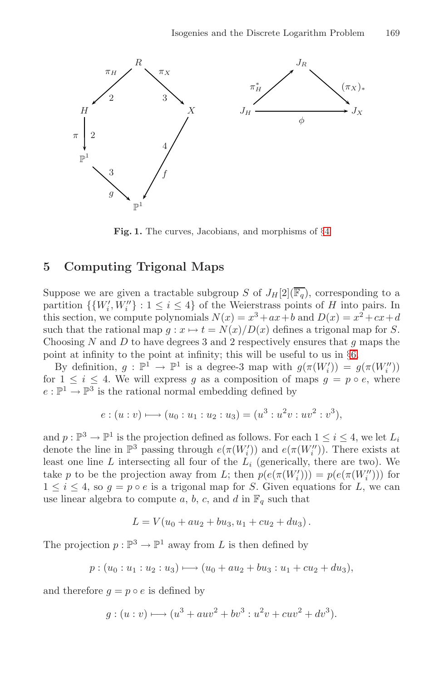<span id="page-6-1"></span>

**Fig. 1.** The curves, Jacobians, and morphisms of §4

# <span id="page-6-0"></span>**5 Computing Trigonal Maps**

Suppose we are given a tractable subgroup S of  $J_H[2](\overline{\mathbb{F}_q})$ , corresponding to a partition  $\{ \{W_i', W_i''\} : 1 \leq i \leq 4 \}$  of the Weierstrass points of H into pairs. In this section, we compute polynomials  $N(x) = x^3 + ax + b$  and  $D(x) = x^2 + cx + d$ such that the rational map  $g: x \mapsto t = N(x)/D(x)$  defines a trigonal map for S. Choosing N and D to have degrees 3 and 2 respectively ensures that q maps the point at infinity to the point at infinity; this will be useful to us in §6.

By definition,  $g : \mathbb{P}^1 \to \mathbb{P}^1$  is a degree-3 map with  $g(\pi(W_i')) = g(\pi(W_i''))$ for  $1 \leq i \leq 4$ . We will express g as a composition of maps  $g = p \circ e$ , where  $e: \mathbb{P}^1 \to \mathbb{P}^3$  is the rational normal embedding defined by

$$
e: (u:v) \longmapsto (u_0:u_1:u_2:u_3) = (u^3:u^2v:uv^2:v^3),
$$

and  $p: \mathbb{P}^3 \to \mathbb{P}^1$  is the projection defined as follows. For each  $1 \leq i \leq 4$ , we let  $L_i$ denote the line in  $\mathbb{P}^3$  passing through  $e(\pi(W_i'))$  and  $e(\pi(W_i''))$ . There exists at least one line  $L$  intersecting all four of the  $L_i$  (generically, there are two). We take p to be the projection away from L; then  $p(e(\pi(W_i'))) = p(e(\pi(W_i')))$  for  $1 \leq i \leq 4$ , so  $g = p \circ e$  is a trigonal map for S. Given equations for L, we can use linear algebra to compute a, b, c, and d in  $\mathbb{F}_q$  such that

$$
L = V(u_0 + au_2 + bu_3, u_1 + cu_2 + du_3).
$$

The projection  $p : \mathbb{P}^3 \to \mathbb{P}^1$  away from L is then defined by

$$
p:(u_0:u_1:u_2:u_3)\longmapsto (u_0+au_2+bu_3:u_1+cu_2+du_3),
$$

and therefore  $q = p \circ e$  is defined by

$$
g:(u:v) \longmapsto (u^3 + auv^2 + bv^3 : u^2v + cuv^2 + dv^3).
$$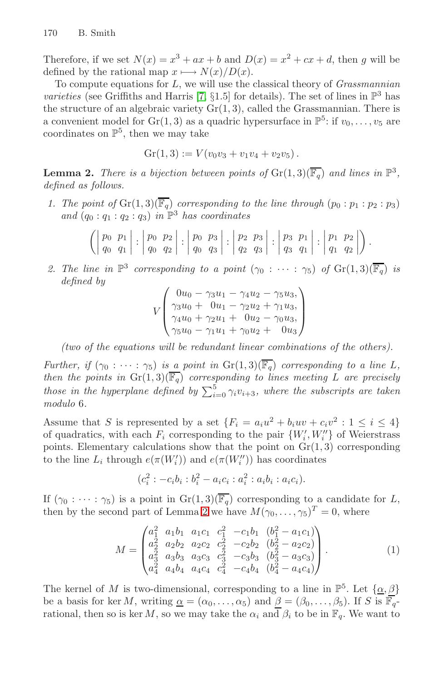<span id="page-7-0"></span>Therefore, if we set  $N(x) = x^3 + ax + b$  and  $D(x) = x^2 + cx + d$ , then g will be defined by the rational map  $x \mapsto N(x)/D(x)$ .

To compute equations for  $L$ , we will use the classical theory of *Grassmannian* varieties (see Griffiths and Harris [7, §1.5] for details). The set of lines in  $\mathbb{P}^3$  has the structure of an algebraic variety  $Gr(1, 3)$ , called the Grassmannian. There is a convenient model for  $Gr(1,3)$  as a quadric hypersurface in  $\mathbb{P}^5$ : if  $v_0,\ldots,v_5$  are coordinates on  $\mathbb{P}^5$ , then we may take

$$
Gr(1,3) := V(v_0v_3 + v_1v_4 + v_2v_5).
$$

**Lemma 2.** There is a bijection between points of  $\operatorname{Gr}(1,3)(\overline{\mathbb{F}_q})$  and lines in  $\mathbb{P}^3$ , defined as follows.

1. The point of  $\operatorname{Gr}(1,3)(\overline{\mathbb{F}_q})$  corresponding to the line through  $(p_0 : p_1 : p_2 : p_3)$ and  $(q_0 : q_1 : q_2 : q_3)$  in  $\mathbb{P}^3$  has coordinates

$$
\left( \left| \begin{array}{cc} p_0 & p_1 \\ q_0 & q_1 \end{array} \right| : \left| \begin{array}{cc} p_0 & p_2 \\ q_0 & q_2 \end{array} \right| : \left| \begin{array}{cc} p_0 & p_3 \\ q_0 & q_3 \end{array} \right| : \left| \begin{array}{cc} p_2 & p_3 \\ q_2 & q_3 \end{array} \right| : \left| \begin{array}{cc} p_3 & p_1 \\ q_3 & q_1 \end{array} \right| : \left| \begin{array}{cc} p_1 & p_2 \\ q_1 & q_2 \end{array} \right| \right).
$$

2. The line in  $\mathbb{P}^3$  corresponding to a point  $(\gamma_0 : \cdots : \gamma_5)$  of  $\mathrm{Gr}(1,3)(\overline{\mathbb{F}_q})$  is defined by

$$
V\begin{pmatrix}0u_0 - \gamma_3 u_1 - \gamma_4 u_2 - \gamma_5 u_3, \\ \gamma_3 u_0 + 0u_1 - \gamma_2 u_2 + \gamma_1 u_3, \\ \gamma_4 u_0 + \gamma_2 u_1 + 0u_2 - \gamma_0 u_3, \\ \gamma_5 u_0 - \gamma_1 u_1 + \gamma_0 u_2 + 0u_3\end{pmatrix}
$$

(two of the equations will be redundant linear combinations of the others).

Further, if  $(\gamma_0 : \cdots : \gamma_5)$  is a point in  $\text{Gr}(1,3)(\overline{\mathbb{F}_q})$  corresponding to a line L, then the points in  $\text{Gr}(1,3)(\overline{\mathbb{F}_q})$  corresponding to lines meeting L are precisely those in the hyperplane defined by  $\sum_{i=0}^{5} \gamma_i v_{i+3}$ , where the subscripts are taken modulo 6.

Assume that S [is](#page-7-0) represented by a set  $\{F_i = a_i u^2 + b_i u v + c_i v^2 : 1 \leq i \leq 4\}$ of quadratics, with each  $F_i$  corresponding to the pair  $\{W_i', W_i''\}$  of Weierstrass points. Elementary calculations show that the point on  $Gr(1, 3)$  corresponding to the line  $L_i$  through  $e(\pi(W_i'))$  and  $e(\pi(W_i''))$  has coordinates

 $(c_i^2: -c_ib_i:b_i^2 - a_ic_i:a_i^2:a_ib_i:a_ic_i).$ 

If  $(\gamma_0 : \cdots : \gamma_5)$  is a point in  $\text{Gr}(1, 3)(\overline{\mathbb{F}_q})$  corresponding to a candidate for L, then by the second part of Lemma 2 we have  $M(\gamma_0,\ldots,\gamma_5)^T=0$ , where

$$
M = \begin{pmatrix} a_1^2 & a_1b_1 & a_1c_1 & c_1^2 & -c_1b_1 & (b_1^2 - a_1c_1) \\ a_2^2 & a_2b_2 & a_2c_2 & c_2^2 & -c_2b_2 & (b_2^2 - a_2c_2) \\ a_3^2 & a_3b_3 & a_3c_3 & c_3^2 & -c_3b_3 & (b_3^2 - a_3c_3) \\ a_4^2 & a_4b_4 & a_4c_4 & c_4^2 & -c_4b_4 & (b_4^2 - a_4c_4) \end{pmatrix} .
$$
 (1)

The kernel of M is two-dimensional, corresponding to a line in  $\mathbb{P}^5$ . Let  $\{\alpha, \beta\}$ be a basis for ker M, writing  $\alpha = (\alpha_0, \ldots, \alpha_5)$  and  $\beta = (\beta_0, \ldots, \beta_5)$ . If S is  $\mathbb{F}_q$ rational, then so is ker M, so we may take the  $\alpha_i$  and  $\beta_i$  to be in  $\mathbb{F}_q$ . We want to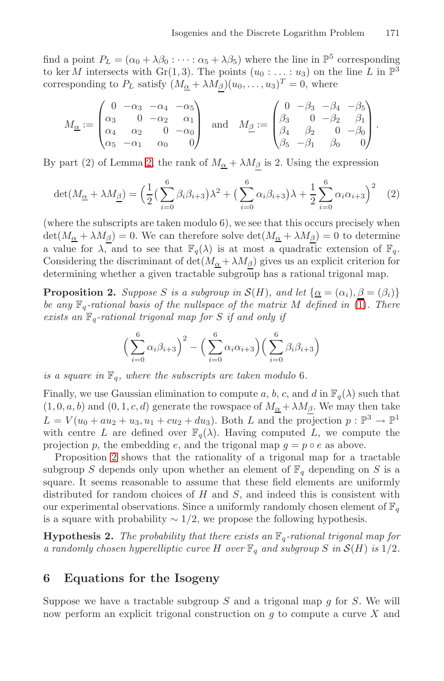find a point  $P_L = (\alpha_0 + \lambda \beta_0 : \cdots : \alpha_5 + \lambda \beta_5)$  where the line in  $\mathbb{P}^5$  corresponding to [ker](#page-7-0) M intersects with Gr(1,3). The points  $(u_0 : \ldots : u_3)$  on the line L in  $\mathbb{P}^3$ corresponding to  $P_L$  satisfy  $(M_{\underline{\alpha}} + \lambda M_{\underline{\beta}})(u_0, \ldots, u_3)^T = 0$ , where

$$
M_{\underline{\alpha}} := \begin{pmatrix} 0 & -\alpha_3 & -\alpha_4 & -\alpha_5 \\ \alpha_3 & 0 & -\alpha_2 & \alpha_1 \\ \alpha_4 & \alpha_2 & 0 & -\alpha_0 \\ \alpha_5 & -\alpha_1 & \alpha_0 & 0 \end{pmatrix} \text{ and } M_{\underline{\beta}} := \begin{pmatrix} 0 & -\beta_3 & -\beta_4 & -\beta_5 \\ \beta_3 & 0 & -\beta_2 & \beta_1 \\ \beta_4 & \beta_2 & 0 & -\beta_0 \\ \beta_5 & -\beta_1 & \beta_0 & 0 \end{pmatrix}.
$$

By part (2) of Lemma 2, the rank of  $M_{\alpha} + \lambda M_{\beta}$  is 2. Using the expression

$$
\det(M_{\underline{\alpha}} + \lambda M_{\underline{\beta}}) = \left(\frac{1}{2}\left(\sum_{i=0}^{6} \beta_i \beta_{i+3}\right)\lambda^2 + \left(\sum_{i=0}^{6} \alpha_i \beta_{i+3}\right)\lambda + \frac{1}{2}\sum_{i=0}^{6} \alpha_i \alpha_{i+3}\right)^2 \tag{2}
$$

(where the subscripts are taken modulo 6), we see that this occurs precisely when  $\det(M_{\underline{\alpha}} + \lambda M_{\beta}) = 0$ . We can therefore solve  $\det(M_{\underline{\alpha}} + \lambda M_{\beta}) = 0$  to determine a value for  $\lambda$ , and to see that  $\mathbb{F}_q(\lambda)$  is at most a quadratic extension of  $\mathbb{F}_q$ . Considering the discriminant of  $\det(M_\alpha + \lambda M_\beta)$  gives us an explicit criterion for determining whether a given tractable subgroup has a rational trigonal map.

**Proposition 2.** Suppose S is a subgroup in  $\mathcal{S}(H)$ , and let  $\{\underline{\alpha} = (\alpha_i), \beta = (\beta_i)\}$ be any  $\mathbb{F}_q$ -rational basis of the nullspace of the matrix M defined in  $\overline{(1)}$ . There exists an  $\mathbb{F}_q$ -rational trigonal map for S if and only if

<span id="page-8-1"></span>
$$
\left(\sum_{i=0}^{6} \alpha_i \beta_{i+3}\right)^2 - \left(\sum_{i=0}^{6} \alpha_i \alpha_{i+3}\right) \left(\sum_{i=0}^{6} \beta_i \beta_{i+3}\right)
$$

is a square in  $\mathbb{F}_q$ , where the subscripts are taken modulo 6.

Finally, we use Gaussian elimination to compute a, b, c, and d in  $\mathbb{F}_q(\lambda)$  such that  $(1, 0, a, b)$  and  $(0, 1, c, d)$  generate the rowspace of  $M_{\alpha} + \lambda M_{\beta}$ . We may then take  $L = V(u_0 + au_2 + u_3, u_1 + cu_2 + du_3)$ . Both L and the projection  $p : \mathbb{P}^3 \to \mathbb{P}^1$ with centre L are defined over  $\mathbb{F}_q(\lambda)$ . Having computed L, we compute the projection p, the embedding e, and the trigonal map  $q = p \circ e$  as above.

<span id="page-8-0"></span>Proposition 2 shows that the rationality of a trigonal map for a tractable subgroup S depends only upon whether an element of  $\mathbb{F}_q$  depending on S is a square. It seems reasonable to assume that these field elements are uniformly distributed for random choices of  $H$  and  $S$ , and indeed this is consistent with our experimental observations. Since a uniformly randomly chosen element of  $\mathbb{F}_q$ is a square with probability  $\sim 1/2$ , we propose the following hypothesis.

**Hypothesis 2.** The probability that there exists an  $\mathbb{F}_q$ -rational trigonal map for a randomly chosen hyperelliptic curve H over  $\mathbb{F}_q$  and subgroup S in  $\mathcal{S}(H)$  is  $1/2$ .

## **6 Equations for the Isogeny**

Suppose we have a tractable subgroup  $S$  and a trigonal map  $q$  for  $S$ . We will now perform an explicit trigonal construction on  $q$  to compute a curve  $X$  and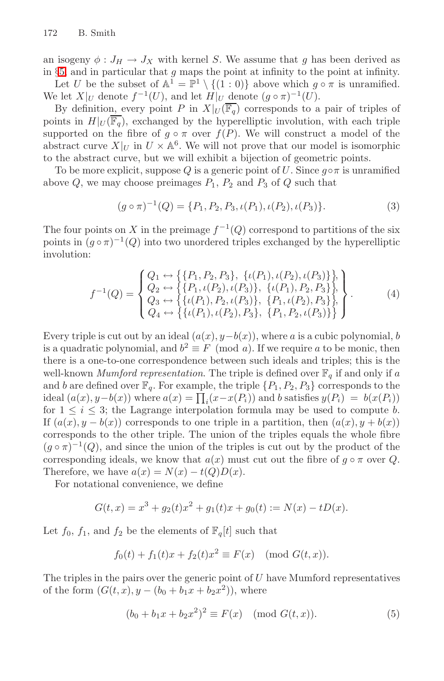an isogeny  $\phi: J_H \to J_X$  with kernel S. We assume that g has been derived as in  $\S5$ , and in particular that  $g$  maps the point at infinity to the point at infinity.

Let U be the subset of  $\mathbb{A}^1 = \mathbb{P}^1 \setminus \{(1:0)\}\$ above which  $g \circ \pi$  is unramified. We let  $X|_U$  denote  $f^{-1}(U)$ , and let  $H|_U$  denote  $(g \circ \pi)^{-1}(U)$ .

By definition, every point P in  $X|_U(\overline{\mathbb{F}_q})$  corresponds to a pair of triples of points in  $H|_U(\overline{\mathbb{F}_q})$ , exchanged by the hyperelliptic involution, with each triple supported on the fibre of  $g \circ \pi$  over  $f(P)$ . We will construct a model of the abstract curve  $X|_U$  in  $U \times \mathbb{A}^6$ . We will not prove that our model is isomorphic to the abstract curve, but we will exhibit a bijection of geometric points.

To be more explicit, suppose Q is a generic point of U. Since  $g \circ \pi$  is unramified above  $Q$ , we may choose preimages  $P_1$ ,  $P_2$  and  $P_3$  of  $Q$  such that

$$
(g \circ \pi)^{-1}(Q) = \{P_1, P_2, P_3, \iota(P_1), \iota(P_2), \iota(P_3)\}.
$$
 (3)

The four points on X in the preimage  $f^{-1}(Q)$  correspond to partitions of the six points in  $(g \circ \pi)^{-1}(Q)$  into two unordered triples exchanged by the hyperelliptic involution:

$$
f^{-1}(Q) = \begin{cases} Q_1 \leftrightarrow \{\{P_1, P_2, P_3\}, \ \{t(P_1), t(P_2), t(P_3)\}\}, \\ Q_2 \leftrightarrow \{\{P_1, t(P_2), t(P_3)\}, \ \{t(P_1), P_2, P_3\}\}, \\ Q_3 \leftrightarrow \{\{t(P_1), P_2, t(P_3)\}, \ \{P_1, t(P_2), P_3\}\}, \\ Q_4 \leftrightarrow \{\{t(P_1), t(P_2), P_3\}, \ \{P_1, P_2, t(P_3)\}\}\end{cases} \tag{4}
$$

Every triple is cut out by an ideal  $(a(x), y - b(x))$ , where a is a cubic polynomial, b is a quadratic polynomial, and  $b^2 \equiv F \pmod{a}$ . If we require a to be monic, then there is a one-to-one correspondence between such ideals and triples; this is the well-known *Mumford representation*. The triple is defined over  $\mathbb{F}_q$  if and only if a and b are defined over  $\mathbb{F}_q$ . For example, the triple  $\{P_1, P_2, P_3\}$  corresponds to the ideal  $(a(x), y - b(x))$  where  $a(x) = \prod_i (x - x(P_i))$  and b satisfies  $y(P_i) = b(x(P_i))$ for  $1 \leq i \leq 3$ ; the Lagrange interpolation formula may be used to compute b. If  $(a(x), y - b(x))$  corresponds to one triple in a partition, then  $(a(x), y + b(x))$ corresponds to the other triple. The union of the triples equals the whole fibre  $(q \circ \pi)^{-1}(Q)$ , and since the union of the triples is cut out by the product of the corresponding ideals, we know that  $a(x)$  must cut out the fibre of  $g \circ \pi$  over Q. Therefore, we have  $a(x) = N(x) - t(Q)D(x)$ .

For notational convenience, we define

$$
G(t, x) = x3 + g2(t)x2 + g1(t)x + g0(t) := N(x) - tD(x).
$$

Let  $f_0$ ,  $f_1$ , and  $f_2$  be the elements of  $\mathbb{F}_q[t]$  such that

$$
f_0(t) + f_1(t)x + f_2(t)x^2 \equiv F(x) \pmod{G(t, x)}
$$
.

The triples in the pairs over the generic point of  $U$  have Mumford representatives of the form  $(G(t, x), y - (b_0 + b_1x + b_2x^2))$ , where

$$
(b_0 + b_1x + b_2x^2)^2 \equiv F(x) \pmod{G(t, x)}.
$$
 (5)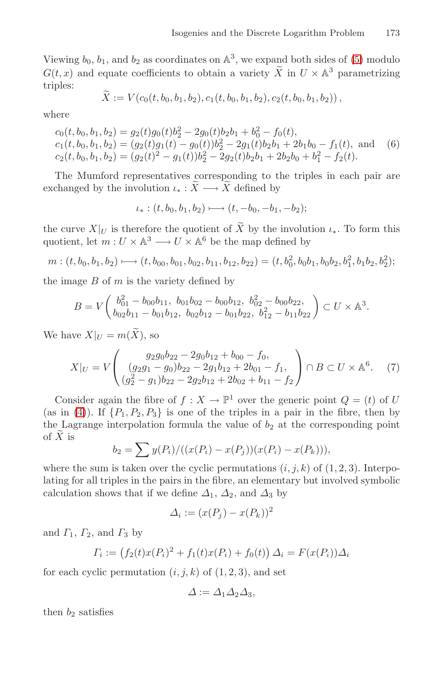Viewing  $b_0$ ,  $b_1$ , and  $b_2$  as coordinates on  $\mathbb{A}^3$ , we expand both sides of (5) modulo  $G(t, x)$  and equate coefficients to obtain a variety  $\widetilde{X}$  in  $U \times \mathbb{A}^3$  parametrizing triples:

$$
X := V(c_0(t, b_0, b_1, b_2), c_1(t, b_0, b_1, b_2), c_2(t, b_0, b_1, b_2)),
$$

where

$$
c_0(t, b_0, b_1, b_2) = g_2(t)g_0(t)b_2^2 - 2g_0(t)b_2b_1 + b_0^2 - f_0(t),
$$
  
\n
$$
c_1(t, b_0, b_1, b_2) = (g_2(t)g_1(t) - g_0(t))b_2^2 - 2g_1(t)b_2b_1 + 2b_1b_0 - f_1(t),
$$
 and (6)  
\n
$$
c_2(t, b_0, b_1, b_2) = (g_2(t)^2 - g_1(t))b_2^2 - 2g_2(t)b_2b_1 + 2b_2b_0 + b_1^2 - f_2(t).
$$

The Mumford representatives corresponding to the triples in each pair are exchanged by the involution  $\iota_* : \widetilde{X} \longrightarrow \widetilde{X}$  defined by

$$
\iota_*: (t, b_0, b_1, b_2) \longmapsto (t, -b_0, -b_1, -b_2);
$$

the curve  $X|_U$  is therefore the quotient of X by the involution  $\iota_*$ . To form this quotient, let  $m: U \times \mathbb{A}^3 \longrightarrow U \times \mathbb{A}^6$  be the map defined by

$$
m:(t,b_0,b_1,b_2)\longmapsto (t,b_{00},b_{01},b_{02},b_{11},b_{12},b_{22})=(t,b_0^2,b_0b_1,b_0b_2,b_1^2,b_1b_2,b_2^2);
$$

the image  $B$  of  $m$  is the variety defined by

$$
B = V\left(\begin{array}{ccc} b_{01}^2 - b_{00}b_{11}, & b_{01}b_{02} - b_{00}b_{12}, & b_{02}^2 - b_{00}b_{22}, \\ b_{02}b_{11} - b_{01}b_{12}, & b_{02}b_{12} - b_{01}b_{22}, & b_{12}^2 - b_{11}b_{22} \end{array}\right) \subset U \times \mathbb{A}^3.
$$

We have  $X|_U = m(\tilde{X})$ , so

$$
X|_U = V\begin{pmatrix} g_2g_0b_{22} - 2g_0b_{12} + b_{00} - f_0, \\ (g_2g_1 - g_0)b_{22} - 2g_1b_{12} + 2b_{01} - f_1, \\ (g_2^2 - g_1)b_{22} - 2g_2b_{12} + 2b_{02} + b_{11} - f_2 \end{pmatrix} \cap B \subset U \times \mathbb{A}^6. \tag{7}
$$

Consider again the fibre of  $f : X \to \mathbb{P}^1$  over the generic point  $Q = (t)$  of U (as in (4)). If  $\{P_1, P_2, P_3\}$  is one of the triples in a pair in the fibre, then by the Lagrange interpolation formula the value of  $b_2$  at the corresponding point of  $\widetilde{X}$  is

$$
b_2 = \sum y(P_i) / ((x(P_i) - x(P_j))(x(P_i) - x(P_k))),
$$

where the sum is taken over the cyclic permutations  $(i, j, k)$  of  $(1, 2, 3)$ . Interpolating for all triples in the pairs in the fibre, an elementary but involved symbolic calculation shows that if we define  $\Delta_1$ ,  $\Delta_2$ , and  $\Delta_3$  by

$$
\Delta_i := (x(P_j) - x(P_k))^2
$$

and  $\Gamma_1$ ,  $\Gamma_2$ , and  $\Gamma_3$  by

$$
\Gamma_i := (f_2(t)x(P_i)^2 + f_1(t)x(P_i) + f_0(t)) \Delta_i = F(x(P_i))\Delta_i
$$

for each cyclic permutation  $(i, j, k)$  of  $(1, 2, 3)$ , and set

$$
\Delta := \Delta_1 \Delta_2 \Delta_3,
$$

then  $b_2$  satisfies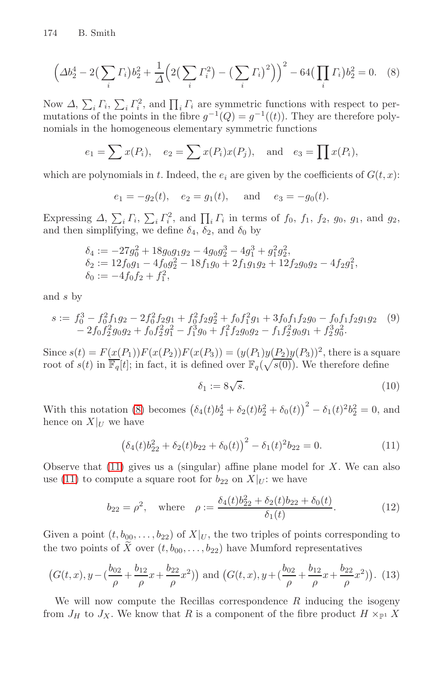<span id="page-11-0"></span>
$$
\left(\Delta b_2^4 - 2\left(\sum_i \Gamma_i\right) b_2^2 + \frac{1}{\Delta} \left(2\left(\sum_i \Gamma_i^2\right) - \left(\sum_i \Gamma_i\right)^2\right)\right)^2 - 64\left(\prod_i \Gamma_i\right) b_2^2 = 0. \tag{8}
$$

Now  $\Delta$ ,  $\sum_i \Gamma_i$ ,  $\sum_i \Gamma_i^2$ , and  $\prod_i \Gamma_i$  are symmetric functions with respect to permutations of the points in the fibre  $g^{-1}(Q) = g^{-1}((t))$ . They are therefore polynomials in the homogeneous elementary symmetric functions

$$
e_1 = \sum x(P_i), \quad e_2 = \sum x(P_i)x(P_j), \text{ and } e_3 = \prod x(P_i),
$$

which are polynomials in t. Indeed, the  $e_i$  are given by the coefficients of  $G(t, x)$ :

$$
e_1 = -g_2(t)
$$
,  $e_2 = g_1(t)$ , and  $e_3 = -g_0(t)$ .

<span id="page-11-1"></span>Expressing  $\Delta$ ,  $\sum_i \Gamma_i$ ,  $\sum_i \Gamma_i^2$ , and  $\prod_i \Gamma_i$  in terms of  $f_0$ ,  $f_1$ ,  $f_2$ ,  $g_0$ ,  $g_1$ , and  $g_2$ , and then simplifying, we define  $\delta_4$ ,  $\delta_2$ , and  $\delta_0$  by

$$
\begin{array}{l} \delta_4:= -27g_0^2+18g_0g_1g_2-4g_0g_2^3-4g_1^3+g_1^2g_2^2,\\ \delta_2:= 12f_0g_1-4f_0g_2^2-18f_1g_0+2f_1g_1g_2+12f_2g_0g_2-4f_2g_1^2,\\ \delta_0:=-4f_0f_2+f_1^2, \end{array}
$$

and s by

$$
s := f_0^3 - f_0^2 f_1 g_2 - 2 f_0^2 f_2 g_1 + f_0^2 f_2 g_2^2 + f_0 f_1^2 g_1 + 3 f_0 f_1 f_2 g_0 - f_0 f_1 f_2 g_1 g_2 \quad (9) - 2 f_0 f_2^2 g_0 g_2 + f_0 f_2^2 g_1^2 - f_1^3 g_0 + f_1^2 f_2 g_0 g_2 - f_1 f_2^2 g_0 g_1 + f_2^3 g_0^2.
$$

Since  $s(t) = F(x(P_1))F(x(P_2))F(x(P_3)) = (y(P_1)y(P_2)y(P_3))^2$ , there is a square root of  $s(t)$  in  $\overline{\mathbb{F}_q}[t]$ ; in fact, it is defined over  $\mathbb{F}_q(\sqrt{s(0)})$ . We therefore define

$$
\delta_1 := 8\sqrt{s}.\tag{10}
$$

With this notation (8) becomes  $(\delta_4(t)b_2^4 + \delta_2(t)b_2^2 + \delta_0(t))^2 - \delta_1(t)^2b_2^2 = 0$ , and hence on  $X|_U$  we have

$$
(\delta_4(t)b_{22}^2 + \delta_2(t)b_{22} + \delta_0(t))^2 - \delta_1(t)^2 b_{22} = 0.
$$
 (11)

Observe that  $(11)$  gives us a (singular) affine plane model for X. We can also use (11) to compute a square root for  $b_{22}$  on  $X|_{U}$ : we have

$$
b_{22} = \rho^2, \quad \text{where} \quad \rho := \frac{\delta_4(t)b_{22}^2 + \delta_2(t)b_{22} + \delta_0(t)}{\delta_1(t)}.
$$
 (12)

Given a point  $(t, b_{00},...,b_{22})$  of  $X|_U$ , the two triples of points corresponding to the two points of X over  $(t, b_{00}, \ldots, b_{22})$  have Mumford representatives

$$
(G(t, x), y - (\frac{b_{02}}{\rho} + \frac{b_{12}}{\rho}x + \frac{b_{22}}{\rho}x^2))
$$
 and  $(G(t, x), y + (\frac{b_{02}}{\rho} + \frac{b_{12}}{\rho}x + \frac{b_{22}}{\rho}x^2))$ . (13)

We will now compute the Recillas correspondence  $R$  inducing the isogeny from  $J_H$  to  $J_X$ . We know that R is a component of the fibre product  $H \times_{\mathbb{P}^1} X$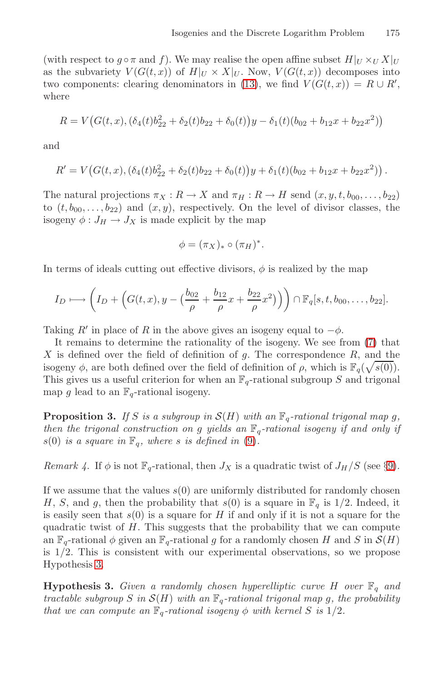(with respect to  $g \circ \pi$  and f). We may realise the open affine subset  $H|_U \times_U X|_U$ as the subvariety  $V(G(t,x))$  of  $H|_U \times X|_U$ . Now,  $V(G(t,x))$  decomposes into two components: clearing denominators in (13), we find  $V(G(t,x)) = R \cup R'$ , where

$$
R = V\big(G(t, x), (\delta_4(t)b_{22}^2 + \delta_2(t)b_{22} + \delta_0(t)\big)y - \delta_1(t)(b_{02} + b_{12}x + b_{22}x^2)\big)
$$

and

$$
R' = V\big(G(t,x), (\delta_4(t)b_{22}^2 + \delta_2(t)b_{22} + \delta_0(t)\big)y + \delta_1(t)(b_{02} + b_{12}x + b_{22}x^2)\big).
$$

The natural projections  $\pi_X : R \to X$  and  $\pi_H : R \to H$  send  $(x, y, t, b_{00}, \ldots, b_{22})$ to  $(t, b_{00},...,b_{22})$  and  $(x, y)$ , respectively. On the level of divisor classes, the isogeny  $\phi: J_H \to J_X$  is made explicit by the map

$$
\phi = (\pi_X)_* \circ (\pi_H)^*.
$$

In terms of ideals cutting out effective divisors,  $\phi$  is realized by the map

$$
I_D \longmapsto \left(I_D+\left(G(t,x),y-\left(\frac{b_{02}}{\rho}+\frac{b_{12}}{\rho}x+\frac{b_{22}}{\rho}x^2\right)\right)\right)\cap \mathbb{F}_q[s,t,b_{00},\ldots,b_{22}].
$$

Taking R' in place of R in the above gives an isogeny equal to  $-\phi$ .

It remains to determin[e t](#page-11-1)he rationality of the isogeny. We see from (7) that  $X$  is defined over the field of definition of  $g$ . The correspondence  $R$ , and the isogeny  $\phi$ [,](#page-16-0) are both defined over the field of definition of  $\rho$ , which is  $\mathbb{F}_q(\sqrt{s(0)})$ . This gives us a useful criterion for when an  $\mathbb{F}_q$ -rational subgroup S and trigonal map g lead to an  $\mathbb{F}_q$ -rational isogeny.

**Proposition 3.** If S is a subgroup in  $\mathcal{S}(H)$  with an  $\mathbb{F}_q$ -rational trigonal map g, then the trigonal construction on g yields an  $\mathbb{F}_q$ -rational isogeny if and only if  $s(0)$  is a square in  $\mathbb{F}_q$ , where s is defined in (9).

<span id="page-12-0"></span>Remark 4. If  $\phi$  is not  $\mathbb{F}_q$ -rational, then  $J_X$  is a quadratic twist of  $J_H/S$  (see §9).

If we assume that the values  $s(0)$  are uniformly distributed for randomly chosen H, S, and g, then the probability that  $s(0)$  is a square in  $\mathbb{F}_q$  is 1/2. Indeed, it is easily seen that  $s(0)$  is a square for H if and only if it is not a square for the quadratic twist of  $H$ . This suggests that the probability that we can compute an  $\mathbb{F}_q$ -rational  $\phi$  given an  $\mathbb{F}_q$ -rational g for a randomly chosen H and S in  $\mathcal{S}(H)$ is 1/2. This is consistent with our experimental observations, so we propose Hypothesis 3.

**Hypothesis 3.** Given a randomly chosen hyperelliptic curve H over  $\mathbb{F}_q$  and tractable subgroup S in  $\mathcal{S}(H)$  with an  $\mathbb{F}_q$ -rational trigonal map g, the probability that we can compute an  $\mathbb{F}_q$ -rational isogeny  $\phi$  with kernel S is 1/2.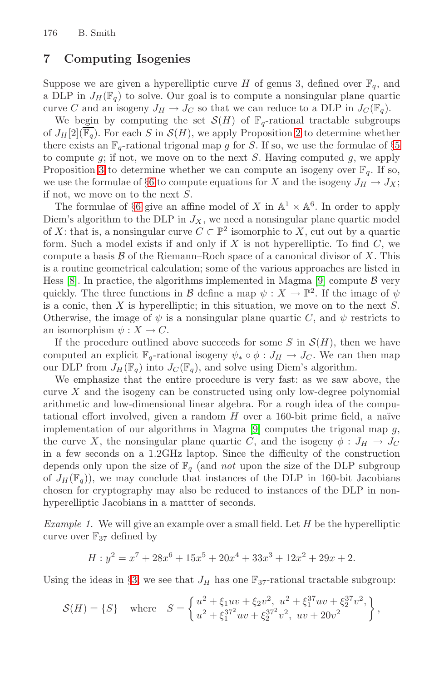# **7 Computing Isogenies**

Sup[po](#page-8-0)se we are given a hyperelliptic curve H of genus 3, defined over  $\mathbb{F}_q$ , and a DLP in  $J_H(\mathbb{F}_q)$  to solve. Our goal is to compute a nonsingular plane quartic c[ur](#page-8-0)ve C and an isogeny  $J_H \to J_C$  so that we can reduce to a DLP in  $J_C(\mathbb{F}_q)$ .

We begin by computing the set  $\mathcal{S}(H)$  of  $\mathbb{F}_q$ -rational tractable subgroups of  $J_H[2](\overline{\mathbb{F}_q})$ . For each S in  $\mathcal{S}(H)$ , we apply Proposition 2 to determine whether there exists an  $\mathbb{F}_q$ -rational trigonal map g for S. If so, we use the formulae of §5 to compute  $g$ ; if not, we move on to the next  $S$ . Having computed  $g$ , we apply Proposition 3 to determine whether we can compute an isogeny over  $\mathbb{F}_q$ . If so, we use the formulae of §6 to compute equa[tio](#page-17-9)ns for X and the isogeny  $J_H \to J_X$ ; if not, we move on to the next S.

The formulae of §6 give an affine model of X in  $\mathbb{A}^1 \times \mathbb{A}^6$ . In order to apply Diem's algorithm to the DLP in  $J_X$ , we need a nonsingular plane quartic model of X: that is, a nonsingular curve  $C \subset \mathbb{P}^2$  isomorphic to X, cut out by a quartic form. Such a model exists if and only if  $X$  is not hyperelliptic. To find  $C$ , we compute a basis  $\beta$  of the Riemann–Roch space of a canonical divisor of X. This is a routine geometrical calculation; some of the various approaches are listed in Hess [8]. In practice, the algorithms implemented in Magma [9] compute  $\beta$  very quickly. The three functions in B define a map  $\psi : X \to \mathbb{P}^2$ . If the image of  $\psi$ is a conic, then  $X$  is hyperelliptic; in this situation, we move on to the next  $S$ . Otherwise, the image of  $\psi$  is a nonsingular plane quartic C, and  $\psi$  restricts to an isomorphism  $\psi: X \to C$ [.](#page-17-9)

If the procedure outlined above succeeds for some  $S$  in  $\mathcal{S}(H)$ , then we have computed an explicit  $\mathbb{F}_q$ -rational isogeny  $\psi_* \circ \phi : J_H \to J_C$ . We can then map our DLP from  $J_H(\mathbb{F}_q)$  into  $J_C(\mathbb{F}_q)$ , and solve using Diem's algorithm.

We emphasize that the entire procedure is very fast: as we saw above, the curve  $X$  and the isogeny can be constructed using only low-degree polynomial arithmetic and low-dimensional linear algebra. For a rough idea of the computational effort involved, given a random  $H$  over a 160-bit prime field, a naïve implementation of our algorithms in Magma  $[9]$  computes the trigonal map  $g$ , the curve X, the nonsingular plane quartic C, and the isogeny  $\phi: J_H \to J_C$ in a few seconds on a 1.2GHz laptop. Since the difficulty of the construction depends only upon the size of  $\mathbb{F}_q$  (and not upon the size of the DLP subgroup of  $J_H(\mathbb{F}_q)$ , we may conclude that instances of the DLP in 160-bit Jacobians [ch](#page-3-0)osen for cryptography may also be reduced to instances of the DLP in nonhyperelliptic Jacobians in a mattter of seconds.

Example 1. We will give an example over a small field. Let  $H$  be the hyperelliptic curve over  $\mathbb{F}_{37}$  defined by

$$
H: y^2 = x^7 + 28x^6 + 15x^5 + 20x^4 + 33x^3 + 12x^2 + 29x + 2.
$$

Using the ideas in §3, we see that  $J_H$  has one  $\mathbb{F}_{37}$ -rational tractable subgroup:

$$
\mathcal{S}(H) = \{S\} \quad \text{where} \quad S = \left\{ \begin{matrix} u^2 + \xi_1 uv + \xi_2 v^2, \ u^2 + \xi_1^{37} uv + \xi_2^{37} v^2, \\ u^2 + \xi_1^{37^2} uv + \xi_2^{37^2} v^2, \ uv + 20v^2 \end{matrix} \right\},
$$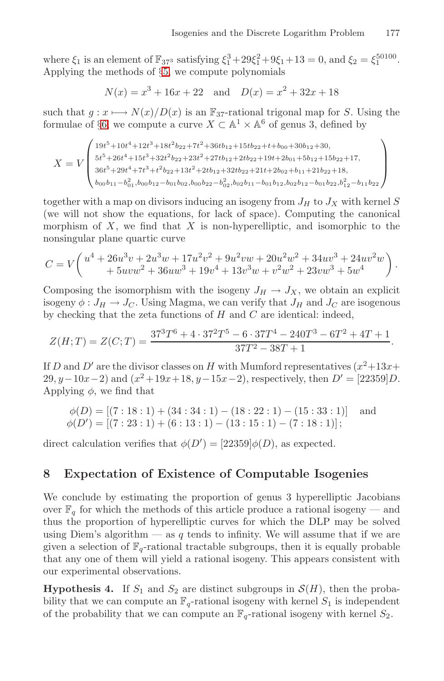where  $\xi_1$  is an element of  $\mathbb{F}_{37^3}$  satisfying  $\xi_1^3 + 29\xi_1^2 + 9\xi_1 + 13 = 0$ , and  $\xi_2 = \xi_1^{50100}$ . Applying the methods of §5, we compute polynomials

$$
N(x) = x3 + 16x + 22
$$
 and  $D(x) = x2 + 32x + 18$ 

such that  $g: x \mapsto N(x)/D(x)$  is an  $\mathbb{F}_{37}$ -rational trigonal map for S. Using the formulae of §6, we compute a curve  $X \subset \mathbb{A}^1 \times \mathbb{A}^6$  of genus 3, defined by

$$
X = V \begin{pmatrix} 19t^5 + 10t^4 + 12t^3 + 18t^2b_{22} + 7t^2 + 36tb_{12} + 15tb_{22} + t + b_{00} + 30b_{12} + 30, \\ 5t^5 + 26t^4 + 15t^3 + 32t^2b_{22} + 23t^2 + 27tb_{12} + 2tb_{22} + 19t + 2b_{01} + 5b_{12} + 15b_{22} + 17, \\ 36t^5 + 29t^4 + 7t^3 + t^2b_{22} + 13t^2 + 2tb_{12} + 32tb_{22} + 21t + 2b_{02} + b_{11} + 21b_{22} + 18, \\ b_{00}b_{11} - b_{01}^2, b_{00}b_{12} - b_{01}b_{02}, b_{00}b_{22} - b_{02}^2, b_{02}b_{11} - b_{01}b_{12}, b_{02}b_{12} - b_{01}b_{22}, b_{12}^2 - b_{11}b_{22} \end{pmatrix}
$$

together with a map on divisors inducing an isogeny from  $J_H$  to  $J_X$  with kernel  $S$ (we will not show the equations, for lack of space). Computing the canonical morphism of  $X$ , we find that  $X$  is non-hyperelliptic, and isomorphic to the nonsingular plane quartic curve

$$
C=V\bigg(\begin{matrix}u^4+26u^3v+2u^3w+17u^2v^2+9u^2vw+20u^2w^2+34uv^3+24uv^2w\\+5uvw^2+36uw^3+19v^4+13v^3w+v^2w^2+23vw^3+5w^4\end{matrix}\bigg)\,.
$$

Composing the isomorphism with the isogeny  $J_H \to J_X$ , we obtain an explicit isogeny  $\phi: J_H \to J_C$ . Using Magma, we can verify that  $J_H$  and  $J_C$  are isogenous by checking that the zeta functions of  $H$  and  $C$  are identical: indeed,

$$
Z(H;T) = Z(C;T) = \frac{37^3T^6 + 4 \cdot 37^2T^5 - 6 \cdot 37T^4 - 240T^3 - 6T^2 + 4T + 1}{37T^2 - 38T + 1}.
$$

If D and D' are the divisor classes on H with Mumford representatives  $(x^2+13x+$ 29, y – 10x – 2) and  $(x^2+19x+18, y-15x-2)$ , respectively, then  $D' = [22359]D$ . Applying  $\phi$ , we find that

$$
\phi(D) = [(7:18:1) + (34:34:1) - (18:22:1) - (15:33:1)] \text{ and}
$$
  
\n
$$
\phi(D') = [(7:23:1) + (6:13:1) - (13:15:1) - (7:18:1)];
$$

direct calculation verifies that  $\phi(D') = [22359] \phi(D)$ , as expected.

#### <span id="page-14-0"></span>**8 Expectation of Existence of Computable Isogenies**

We conclude by estimating the proportion of genus 3 hyperelliptic Jacobians over  $\mathbb{F}_q$  for which the methods of this article produce a rational isogeny — and thus the proportion of hyperelliptic curves for which the DLP may be solved using Diem's algorithm — as q tends to infinity. We will assume that if we are given a selection of  $\mathbb{F}_q$ -rational tractable subgroups, then it is equally probable that any one of them will yield a rational isogeny. This appears consistent with our experimental observations.

**Hypothesis 4.** If  $S_1$  and  $S_2$  are distinct subgroups in  $\mathcal{S}(H)$ , then the probability that we can compute an  $\mathbb{F}_q$ -rational isogeny with kernel  $S_1$  is independent of the probability that we can compute an  $\mathbb{F}_q$ -rational isogeny with kernel  $S_2$ .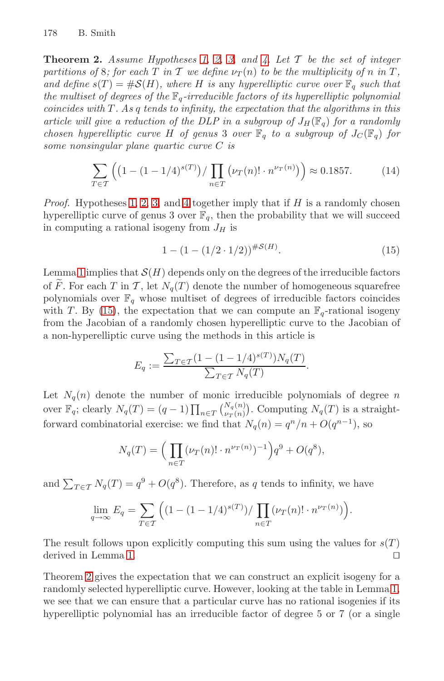<span id="page-15-2"></span><span id="page-15-1"></span>**Theorem 2.** Assume Hypotheses 1, 2, 3, and 4. Let  $\mathcal{T}$  be the set of integer partitions of 8; for each T in T we define  $\nu_T(n)$  to be the multiplicity of n in T, and define  $s(T) = #S(H)$ , where H is any hyperelliptic curve over  $\mathbb{F}_q$  such that the multiset of degrees of the  $\mathbb{F}_q$ -irreducible factors of its hyperelliptic polynomial  $coincides with T. As q tends to infinity, the expectation that the algorithms in this$  $coincides with T. As q tends to infinity, the expectation that the algorithms in this$  $coincides with T. As q tends to infinity, the expectation that the algorithms in this$  $coincides with T. As q tends to infinity, the expectation that the algorithms in this$  $coincides with T. As q tends to infinity, the expectation that the algorithms in this$  $coincides with T. As q tends to infinity, the expectation that the algorithms in this$ article will give a reduction of the DLP in a subgroup of  $J_H(\mathbb{F}_q)$  for a randomly chosen hyperelliptic curve H of genus 3 over  $\mathbb{F}_q$  to a subgroup of  $J_C(\mathbb{F}_q)$  for some nonsingular plane quartic curve C is

<span id="page-15-0"></span>
$$
\sum_{T \in \mathcal{T}} \left( \left( 1 - (1 - 1/4)^{s(T)} \right) / \prod_{n \in \mathcal{T}} \left( \nu_T(n)! \cdot n^{\nu_T(n)} \right) \right) \approx 0.1857. \tag{14}
$$

*Proof.* Hypotheses 1, 2, 3, and 4 together imply that if  $H$  is a randomly chosen hyperelliptic curve of genus 3 over  $\mathbb{F}_q$ , then the probability that we will succeed in computing a rational isogeny from  $J_H$  is

$$
1 - (1 - (1/2 \cdot 1/2))^{H\mathcal{S}(H)}.\t(15)
$$

Lemma 1 implies that  $\mathcal{S}(H)$  depends only on the degrees of the irreducible factors of  $\widetilde{F}$ . For each T in T, let  $N_q(T)$  denote the number of homogeneous squarefree polynomials over  $\mathbb{F}_q$  whose multiset of degrees of irreducible factors coincides with T. By (15), the expectation that we can compute an  $\mathbb{F}_q$ -rational isogeny from the Jacobian of a randomly chosen hyperelliptic curve to the Jacobian of a non-hyperelliptic curve using the methods in this article is

$$
E_q := \frac{\sum_{T \in \mathcal{T}} (1 - (1 - 1/4)^{s(T)}) N_q(T)}{\sum_{T \in \mathcal{T}} N_q(T)}.
$$

Let  $N_q(n)$  denote the number of monic irreducible polynomials of degree n over  $\mathbb{F}_q$ ; clearly  $N_q(T) = (q - 1) \prod_{n \in T} {N_q(n) \choose \nu_T(n)}$ . Computing  $N_q(T)$  is a straightforward combinatorial exercise: we find that  $N_q(n) = q^n/n + O(q^{n-1})$ , so

$$
N_q(T) = \left(\prod_{n \in T} (\nu_T(n)! \cdot n^{\nu_T(n)})^{-1}\right) q^9 + O(q^8),
$$

and  $\sum_{T \in \mathcal{T}} N_q(T) = q^9 + O(q^8)$ . Therefore, as q tends to infinity, we have

$$
\lim_{q \to \infty} E_q = \sum_{T \in \mathcal{T}} \left( (1 - (1 - 1/4)^{s(T)}) / \prod_{n \in T} (\nu_T(n)! \cdot n^{\nu_T(n)}) \right).
$$

The result follows upon explicitly computing this sum using the values for  $s(T)$ derived in Lemma 1.  $\Box$ 

Theorem 2 gives the expectation that we can construct an explicit isogeny for a randomly selected hyperelliptic curve. However, looking at the table in Lemma 1, we see that we can ensure that a particular curve has no rational isogenies if its hyperelliptic polynomial has an irreducible factor of degree 5 or 7 (or a single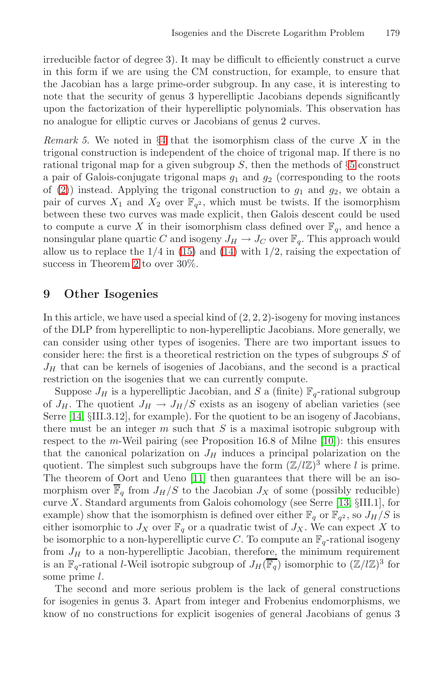irreducible factor of degree 3). It may be difficult to efficiently construct a curve in this form if we are using the CM constructio[n,](#page-6-0) for example, to ensure that the Jacobian has a large prime-order subgroup. In any case, it is interesting to note that the security of genus 3 hyperelliptic Jacobians depends significantly upon the factorization of their hyperelliptic polynomials. This observation has no analogue for elliptic curves or Jacobians of genus 2 curves.

<span id="page-16-0"></span>Remark 5. We noted in  $\S 4$  that the isomorphism class of the curve X in the trigonal co[nstr](#page-15-0)uctio[n is](#page-15-1) independent of the choice of trigonal map. If there is no [rat](#page-15-2)ional trigonal map for a given subgroup  $S$ , then the methods of  $\S5$  construct a pair of Galois-conjugate trigonal maps  $g_1$  and  $g_2$  (corresponding to the roots of (2)) instead. Applying the trigonal construction to  $g_1$  and  $g_2$ , we obtain a pair of curves  $X_1$  and  $X_2$  over  $\mathbb{F}_{q^2}$ , which must be twists. If the isomorphism between these two curves was made explicit, then Galois descent could be used to compute a curve X in their isomorphism class defined over  $\mathbb{F}_q$ , and hence a nonsingular plane quartic C and isogeny  $J_H \to J_C$  over  $\mathbb{F}_q$ . This approach would allow us to replace the  $1/4$  in (15) and (14) with  $1/2$ , raising the expectation of success in Theorem 2 to over 30%.

# **9 Other Isogenies**

In this article, we have used a special kind of  $(2, 2, 2)$ -isogeny for moving instances of the DLP from hyperelliptic to non-hyperelliptic Jacobians. More generally, we can consider using other types of isogenie[s. T](#page-17-10)here are two important issues to consider here: the first is a theoretical restriction on the types of subgroups S of  $J_H$  that can be kernels of isogenies of Jacobians, and the second is a practical restriction on [the](#page-17-11) isogenies that we can currently compute.

Suppose  $J_H$  is a hyperelliptic Jacobian, and S a (finite)  $\mathbb{F}_q$ -rational subgroup of  $J_H$ . The quotient  $J_H \rightarrow J_H/S$  exists as a[n iso](#page-17-12)geny of abelian varieties (see Serre [14, §III.3.12], for example). For the quotient to be an isogeny of Jacobians, there must be an integer  $m$  such that  $S$  is a maximal isotropic subgroup with respect to the m-Weil pairing (see Proposition 16.8 of Milne [10]): this ensures that the canonical polarization on  $J_H$  induces a principal polarization on the quotient. The simplest such subgroups have the form  $(\mathbb{Z}/l\mathbb{Z})^3$  where l is prime. The theorem of Oort and Ueno [11] then guarantees that there will be an isomorphism over  $\overline{\mathbb{F}}_q$  from  $J_H/S$  to the Jacobian  $J_X$  of some (possibly reducible) curve  $X$ . Standard arguments from Galois cohomology (see Serre [13,  $\S$ III.1], for example) show that the isomorphism is defined over either  $\mathbb{F}_q$  or  $\mathbb{F}_{q^2}$ , so  $J_H/S$  is either isomorphic to  $J_X$  over  $\mathbb{F}_q$  or a quadratic twist of  $J_X$ . We can expect X to be isomorphic to a non-hyperelliptic curve C. To compute an  $\mathbb{F}_q$ -rational isogeny from  $J_H$  to a non-hyperelliptic Jacobian, therefore, the minimum requirement is an  $\mathbb{F}_q$ -rational *l*-Weil isotropic subgroup of  $J_H(\overline{\mathbb{F}_q})$  isomorphic to  $(\mathbb{Z}/l\mathbb{Z})^3$  for some prime l.

The second and more serious problem is the lack of general constructions for isogenies in genus 3. Apart from integer and Frobenius endomorphisms, we know of no constructions for explicit isogenies of general Jacobians of genus 3